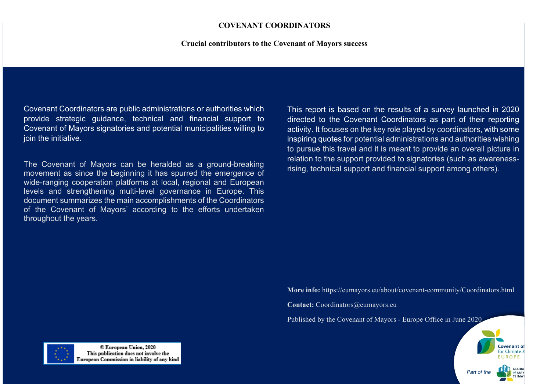#### **COVENANT COORDINATORS**

#### **Crucial contributors to the Covenant of Mayors success**

Covenant Coordinators are public administrations or authorities which provide strategic guidance, technical and financial support to Covenant of Mayors signatories and potential municipalities willing to ioin the initiative.

The Covenant of Mayors can be heralded as a ground-breaking movement as since the beginning it has spurred the emergence of wide-ranging cooperation platforms at local, regional and European levels and strengthening multi-level governance in Europe. This document summarizes the main accomplishments of the Coordinators of the Covenant of Mayors' according to the efforts undertaken throughout the years.

This report is based on the results of a survey launched in 2020 directed to the Covenant Coordinators as part of their reporting activity. It focuses on the key role played by coordinators, with some inspiring quotes for potential administrations and authorities wishing to pursue this travel and it is meant to provide an overall picture in relation to the support provided to signatories (such as awarenessrising, technical support and financial support among others).

**More info:** https://eumayors.eu/about/covenant-community/Coordinators.html

**Contact:** Coordinators@eumayors.eu

Published by the Covenant of Mayors - Europe Office in June 2020





© European Union, 2020 This publication does not involve the European Commission in liability of any kind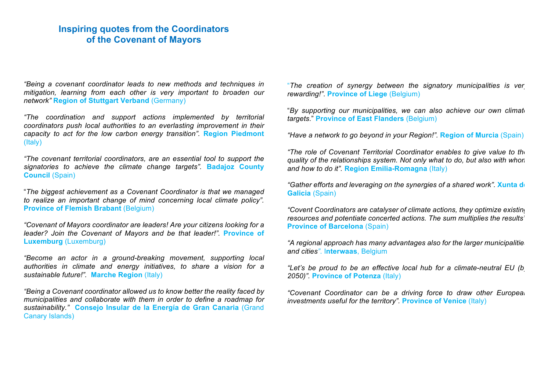# **Inspiring quotes from the Coordinators of the Covenant of Mayors**

*"Being a covenant coordinator leads to new methods and techniques in mitigation, learning from each other is very important to broaden our network"* **Region of Stuttgart Verband** (Germany)

*"The coordination and support actions implemented by territorial coordinators push local authorities to an everlasting improvement in their capacity to act for the low carbon energy transition".* **Region Piedmont** (Italy)

*"The covenant territorial coordinators, are an essential tool to support the signatories to achieve the climate change targets".* **Badajoz County Council** (Spain)

"*The biggest achievement as a Covenant Coordinator is that we managed to realize an important change of mind concerning local climate policy".* **Province of Flemish Brabant** (Belgium)

*"Covenant of Mayors coordinator are leaders! Are your citizens looking for a leader? Join the Covenant of Mayors and be that leader!".* **Province of Luxemburg** (Luxemburg)

*"Become an actor in a ground-breaking movement, supporting local authorities in climate and energy initiatives, to share a vision for a sustainable future!".* **Marche Region** (Italy)

*"Being a Covenant coordinator allowed us to know better the reality faced by municipalities and collaborate with them in order to define a roadmap for sustainability."* **Consejo Insular de la Energía de Gran Canaria** (Grand Canary Islands)

"*The creation of synergy between the signatory municipalities is very rewarding!"*. **Province of Liege** (Belgium)

"*By supporting our municipalities, we can also achieve our own climate targets*." **Province of East Flanders** (Belgium)

*"Have a network to go beyond in your Region!".* **Region of Murcia** (Spain)

*"The role of Covenant Territorial Coordinator enables to give value to the quality of the relationships system. Not only what to do, but also with whom and how to do it".* **Region Emilia-Romagna** (Italy)

*"Gather efforts and leveraging on the synergies of a shared work". Xunta de* **Galicia** (Spain)

*"Covent Coordinators are catalyser of climate actions, they optimize existing resources and potentiate concerted actions. The sum multiplies the results".*  **Province of Barcelona** (Spain)

*"A regional approach has many advantages also for the larger municipalities and cities"*. I**nterwaas**, Belgium

*"Let's be proud to be an effective local hub for a climate-neutral EU (by 2050)".* **Province of Potenza** (Italy)

*"Covenant Coordinator can be a driving force to draw other European investments useful for the territory".* **Province of Venice** (Italy)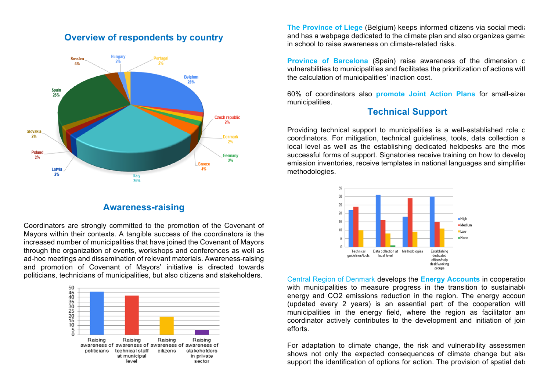### **Overview of respondents by country**



### **Awareness-raising**

Coordinators are strongly committed to the promotion of the Covenant of Mayors within their contexts. A tangible success of the coordinators is the increased number of municipalities that have joined the Covenant of Mayors through the organization of events, workshops and conferences as well as ad-hoc meetings and dissemination of relevant materials. Awareness-raising and promotion of Covenant of Mayors' initiative is directed towards politicians, technicians of municipalities, but also citizens and stakeholders.



**The Province of Liege (Belgium) keeps informed citizens via social mediations** and has a webpage dedicated to the climate plan and also organizes games in school to raise awareness on climate-related risks.

**Province of Barcelona** (Spain) raise awareness of the dimension of vulnerabilities to municipalities and facilitates the prioritization of actions with the calculation of municipalities' inaction cost.

60% of coordinators also **promote Joint Action Plans** for small-sized municipalities.

## **Technical Support**

Providing technical support to municipalities is a well-established role of coordinators. For mitigation, technical guidelines, tools, data collection at local level as well as the establishing dedicated heldpesks are the mos successful forms of support. Signatories receive training on how to develop emission inventories, receive templates in national languages and simplified methodologies.



Central Region of Denmark develops the **Energy Accounts** in cooperation with municipalities to measure progress in the transition to sustainable energy and CO2 emissions reduction in the region. The energy account (updated every 2 years) is an essential part of the cooperation with municipalities in the energy field, where the region as facilitator and coordinator actively contributes to the development and initiation of join efforts.

For adaptation to climate change, the risk and vulnerability assessmen shows not only the expected consequences of climate change but also support the identification of options for action. The provision of spatial data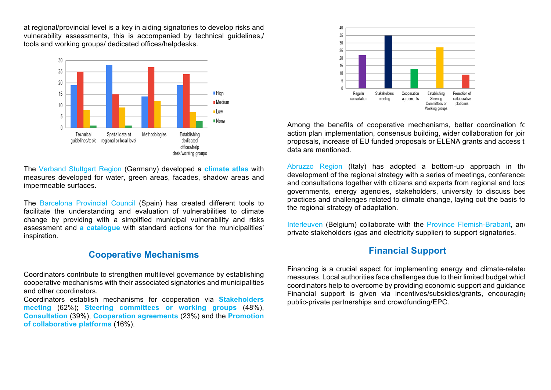at regional/provincial level is a key in aiding signatories to develop risks and vulnerability assessments, this is accompanied by technical guidelines,/ tools and working groups/ dedicated offices/helpdesks.



The Verband Stuttgart Region (Germany) developed a **climate atlas** with measures developed for water, green areas, facades, shadow areas and impermeable surfaces.

The Barcelona Provincial Council (Spain) has created different tools to facilitate the understanding and evaluation of vulnerabilities to climate change by providing with a simplified municipal vulnerability and risks assessment and **a catalogue** with standard actions for the municipalities' inspiration.

### **Cooperative Mechanisms**

Coordinators contribute to strengthen multilevel governance by establishing cooperative mechanisms with their associated signatories and municipalities and other coordinators.

Coordinators establish mechanisms for cooperation via **Stakeholders meeting** (62%); **Steering committees or working groups** (48%), **Consultation** (39%), **Cooperation agreements** (23%) and the **Promotion of collaborative platforms** (16%).



Among the benefits of cooperative mechanisms, better coordination for action plan implementation, consensus building, wider collaboration for joir proposals, increase of EU funded proposals or ELENA grants and access to data are mentioned.

Abruzzo Region (Italy) has adopted a bottom-up approach in the development of the regional strategy with a series of meetings, conference and consultations together with citizens and experts from regional and local governments, energy agencies, stakeholders, university to discuss best practices and challenges related to climate change, laying out the basis for the regional strategy of adaptation.

Interleuven (Belgium) collaborate with the Province Flemish-Brabant, and private stakeholders (gas and electricity supplier) to support signatories.

### **Financial Support**

Financing is a crucial aspect for implementing energy and climate-related measures. Local authorities face challenges due to their limited budget which coordinators help to overcome by providing economic support and guidance. Financial support is given via incentives/subsidies/grants, encouraging public-private partnerships and crowdfunding/EPC.